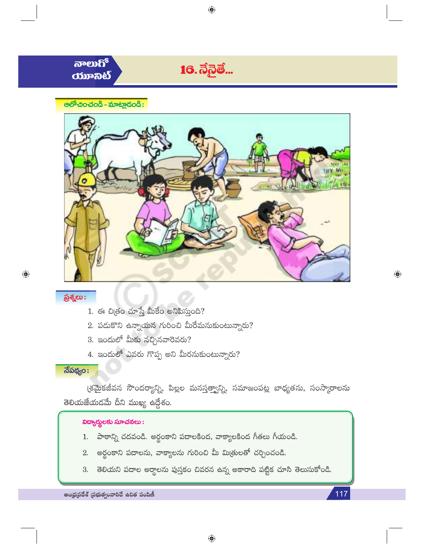



 $\bigoplus$ 

117

ప్రశ్నలు:

◈

- 1. ఈ చిత్రం చూస్తే మీకేం అనిపిస్తుంది?
- $2.$  పడుకొని ఉన్నాయన గురించి మీరేమనుకుంటున్నారు?
- $3.$  ఇందులో మీకు నచ్చినవారెవరు?
- 4. ఇందులో ఎవరు గొప్ప అని మీరనుకుంటున్నారు?

## $\overline{\mathfrak{F}}$ పథ్యం:

(శమైకజీవన సౌందర్యాన్ని, పిల్లల మనస్తత్వాన్ని, సమాజంపట్ల బాధ్యతను, సంస్కారాలను తెలియజేయడమే దీని ముఖ్య ఉద్దేశం.

#### విద్యార్థులకు సూచనలు:

- 1. పాఠాన్ని చదవండి. అర్థంకాని పదాలకింద, వాక్యాలకింద గీతలు గీయండి.
- 2. అర్థంకాని పదాలను, వాక్యాలను గురించి మీ మిత్రులతో చర్చించండి.
- తెలియని పదాల అర్థాలను పుస్తకం చివరన ఉన్న అకారాది పట్టిక చూసి తెలుసుకోండి. 3.

ఆంధ్రప్రదేశ్ (పభుత్వంవారిచే ఉచిత పంపిణీ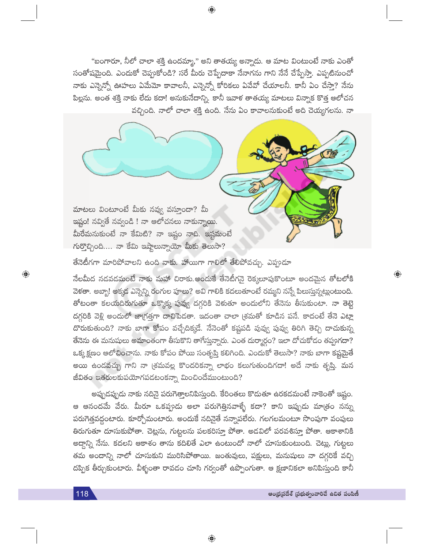"బంగారూ, నీలో చాలా శక్తి ఉందమ్మా," అని తాతయ్య అన్నాడు. ఆ మాట వింటుంటే నాకు ఎంతో సంతోషమైంది. ఎందుకో చెప్పుకోండి? సరే మీరు చెప్పేదాకా నేనాగను గాని నేనే చేప్పేస్తా. ఎప్పటినుంచో నాకు ఎన్నెన్నో ఊహలు ఏమేమో కావాలనీ, ఎన్నెన్నో కోరికలు ఏవేవో చేయాలనీ. కానీ ఏం చేస్తా? నేను పిల్లను. అంత శక్తి నాకు లేదు కదా! అనుకునేదాన్ని. కానీ ఇవాళ తాతయ్య మాటలు విన్నాక కొత్త ఆలోచన వచ్చింది. నాలో చాలా శక్తి ఉంది. నేను ఏం కావాలనుకుంటే అది చెయ్యగలను. నా

మాటలు వింటూంటే మీకు నవ్వు వస్తూందా? మీ ఇష్టం! నవ్వితే నవ్వండి ! నా ఆలోచనలు నాకున్నాయి. మీరేమనుకుంటే నా కేమిటి? నా ఇష్టం నాది. ఇష్టమంటే గుర్తొచ్చింది.... నా కేమి ఇష్టాలున్నాయో మీకు తెలుసా?

తేనెటీగగా మారిపోవాలని ఉంది నాకు. హాయిగా గాలిలో తేలిపోవచ్చు. ఎప్పుడూ

నేలమీద నడవడమంటే నాకు మహా చిరాకు.అందుకే తేనెటీగనై రెక్కలూపుకొంటూ అందమైన తోటలోకి వెళతా. అబ్బా! అక్కడ ఎన్నెన్ని రంగుల పూలు? అవి గాలికి కదలుతూంటే రమ్మని నన్నే పిలుస్తున్నట్లుంటుంది. తోటంతా కలయదిరుగుతూ ఒక్కొక్క పువ్వు దగ్గరికి వెళుతూ అందులోని తేనెను తీసుకుంటా. నా తెట్టె దగ్గరికి వెళ్లి అందులో జాగ్రత్తగా దాచిపెడతా. ఇదంతా చాలా (శమతో కూడిన పనే. కాదంటే తేనె ఎట్లా దొరుకుతుంది? నాకు బాగా కోపం వచ్చేదిక్కడే. నేనెంతో కష్టపడి పువ్వు పువ్వ తిరిగి తెచ్చి దాచుకున్న తేనెను ఈ మనుషులు అమాంతంగా తీసుకొని తాగేస్తున్నారు. ఎంత దుర్మార్గం? ఇలా దోచుకోదం తప్పుగదా? ఒక్కక్షణం ఆలోచించాను. నాకు కోపం పోయి సంతృప్తి కలిగింది. ఎందుకో తెలుసా? నాకు బాగా కష్టమైతే అయి ఉండవచ్చు గాని నా (శమవల్ల కొందరికన్నా లాభం కలుగుతుందిగదా! అదే నాకు తృప్తి. మన జీవితం ఇతరులకుపయోగపడటంకన్నా మించిందేముంటుంది?

అప్పుడప్పుడు నాకు నదినై పరుగెత్తాలనిపిస్తుంది. కేరింతలు కొడుతూ ఉరకడమంటే నాకెంతో ఇష్టం. ఆ ఆనందమే వేరు. మీరూ ఒకప్పుడు అలా పరుగెత్తినవాళ్ళే కదా? కాని ఇప్పుడు మా<mark>త్రం న</mark>న్ను పరుగెత్తవద్దంటారు. కూర్చోమంటారు. అందుకే నదినైతే నన్నాపలేరు. గలగలమంటూ సొంపుగా వంపులు తిరుగుతూ దూసుకుపోతా. చెట్లను, గుట్టలను పలకరిస్తూ పోతా. అడవిలో పరవశిస్తూ పోతా. ఆకాశానికి అద్దాన్ని నేను. కదలని ఆకాశం తాను కదిలితే ఎలా ఉంటుందో నాలో చూసుకుంటుంది. చెట్లు, గుట్టలు తమ అందాన్ని నాలో చూసుకుని మురిసిపోతాయి. జంతువులు, పక్షులు, మనుషులు నా దగ్గరికే వచ్చి దప్పిక తీర్చుకుంటారు. వీళ్ళంతా రావడం చూసి గర్వంతో ఉప్పొంగుతా. ఆ క్షణానికలా అనిపిస్తుంది కానీ

 $\bigoplus$ 

行手

 $\bigoplus$ 

 $\bigoplus$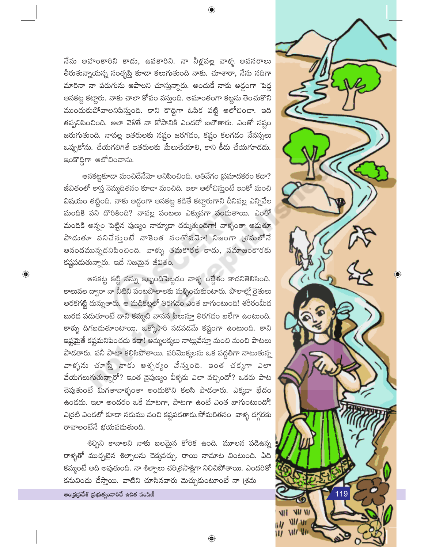నేను అహంకారిని కాదు, ఉపకారిని. నా నీళ్లవల్ల వాళ్ళ అవసరాలు తీరుతున్నాయన్న సంతృప్తి కూడా కలుగుతుంది నాకు. చూశారా, నేను నదిగా మారినా నా పరుగును ఆపాలని చూస్తున్నారు. అందుకే నాకు అడ్డంగా పెద్ద ఆనకట్ట కట్టారు. నాకు చాలా కోపం వస్తుంది. అమాంతంగా కట్టను తెంచుకొని ముందుకుపోవాలనిపిస్తుంది. కాని కొద్దిగా ఓపిక పట్టి ఆలోచించా. ఇది తప్పనిపించింది. అలా వెళితే నా కోపానికి ఎందరో బలౌతారు. ఎంతో నష్టం జరుగుతుంది. నావల్ల ఇతరులకు నష్టం జరగదం, కష్టం కలగడం నేనస్సలు ఒప్పుకోను. చేయగలిగితే ఇతరులకు మేలుచేయాలి, కాని కీడు చేయగూడదు. ఇంకొద్దిగా ఆలోచించాను.

అనకట్టకూడా మంచిదేనేమో అనిపించింది. అతివేగం (ప్రమాదకరం కదా? జీవితంలో కాస్త నెమ్మదితనం కూడా మంచిది. ఇలా ఆలోచిస్తుంటే ఇంకో మంచి విషయం తట్టింది. నాకు అడ్డంగా ఆనకట్ట కడితే కట్టారుగాని దీనివల్ల ఎన్నివేల మందికి పని దొరికింది? నావల్ల పంటలు ఎక్కువగా పండుతాయి. ఎంతో మందికి అన్నం పెట్టిన పుణ్యం నాక్కూడా దక్కుతుందిగా! వాళ్ళంతా ఆడుతూ పాడుతూ పనిచేస్తుంటే నాకెంత సంతోషవెూ! నిజంగా (శ్రమలోనే ఆనందమున్నదనిపించింది. వాళ్ళు తమకొరకే కాదు, సమాజంకొరకు కష్టపడుతున్నారు. ఇదే నిజమైన జీవితం.

ఆనకట్ట కట్టి నన్ను ఇబ్బందిపెట్టడం వాళ్ళ ఉద్దేశం కాదనితెలిసింది. కాలువల ద్వారా నా నీటిని పంటపొలాలకు మళ్ళించుకుంటారు. పొలాల్లో రైతులు అరకగట్టి దున్నుతారు. ఆ మడికట్లలో తిరగడం ఎంత బాగుంటుంది! శరీరంమీద బురద పదుతూంటే దాని కమ్మటి వాసన పీలుస్తూ తిరగడం బలేగా ఉంటుంది. కాళ్ళు దిగబడుతూంటాయి. ఒక్కోసారి నడవడమే కష్టంగా ఉంటుంది. కాని ఇష్టమైతే కష్టమనిపించదు కదా! అమ్మలక్కలు నాట్లువేస్తూ మంచి మంచి పాటలు పాడతారు. పనీ పాటా కలిసిపోతాయి. వరిమొక్కలను ఒక పద్ధతిగా నాటుతున్న వాళ్ళను చూస్తే నాకు ఆశ్చర్యం వేస్తుంది. ఇంత చక్కగా ఎలా వేయగలుగుతున్నారో? ఇంత నైపుణ్యం వీళ్ళకు ఎలా వచ్చిందో? ఒకరు పాట చెపుతుంటే మిగతావాళ్ళంతా అందుకొని కలసి పాడతారు. ఎక్కడా భేదం ఉండదు. ఇలా అందరం ఒకే మాటగా, పాటగా ఉంటే ఎంత బాగుంటుందో! ఎర్రటి ఎండలో కూడా నదుము వంచి కష్టపడతారు.సోమరితనం వాళ్ళ దగ్గరకు రావాలంటేనే భయపడుతుంది.

శిల్పిని కావాలని నాకు బలమైన కోరిక ఉంది. మూలన పడిఉన్న రాళ్ళతో ముచ్చటైన శిల్పాలను చెక్కవచ్చు. రాయి నామాట వింటుంది. ఏది కమ్మంటే అది అవుతుంది. నా శిల్పాలు చరిత్రసాక్షిగా నిలిచిపోతాయి. ఎందరికో కనువిందు చేస్తాయి. వాటిని చూసినవారు మెచ్చుకుంటూంటే నా (శమ

 $\bigoplus$ 

ఆంధ్రప్రదేశ్ (పభుత్వంవారిచే ఉచిత పంపిణీ

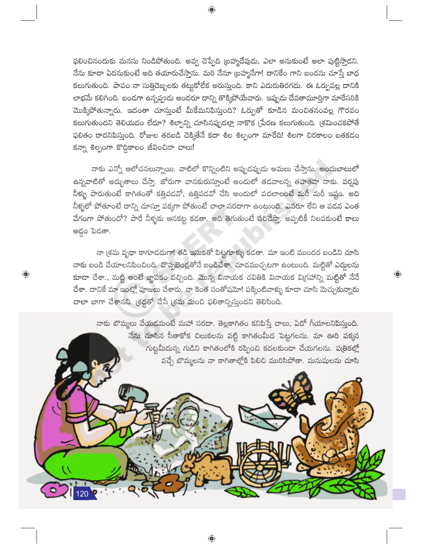ఫలించినందుకు మనసు నిండిపోతుంది. అవ్వ చెప్పేది (బహ్మదేవుడు, ఎలా అనుకుంటే అలా పుట్టిస్తాడని. నేను కూడా ఏదనుకుంటే అది తయారుచేస్తాను. మరి నేనూ (బహ్మనేగా! దానికేం గాని బండను చూస్తే బాధ కలుగుతుంది. పాపం నా సుత్తిదెబ్బలకు తట్టుకోలేక అరుస్తుంది. కాని ఎదురుతిరగదు. ఈ ఓర్పువల్ల దానికి లాభమే కలిగింది. బండగా ఉన్నప్పుడు అందరూ దాన్ని తొక్కిపోయేవారు. ఇప్పుడు దేవతామూర్తిగా మారేసరికి మొక్కిపోతున్నారు. ఇదంతా చూస్తుంటే మీకేమనిపిస్తుంది? ఓర్పుతో కూడిన మంచితనంవల్ల గౌరవం కలుగుతుందని తెలియడం లేదూ? శిల్పాన్ని చూసినప్పుడల్లా నాకొక (పేరణ కలుగుతుంది. (శమించకపోతే ఫలితం రాదనిపిస్తుంది. రోజుల తరబడి చెక్కితేనే కదా శిల శిల్పంగా మారేది! శిలగా చిరకాలం బతకదం కన్నా శిల్పంగా కొద్దికాలం జీవించినా చాలు!

నాకు ఎన్నో ఆలోచనలున్నాయి. వాటిలో కొన్నింటిని అప్పుడప్పుడు అమలు చేస్తాను. అందుబాటులో ఉన్నవాటితో అద్భుతాలు చేస్తా. జోరుగా వానకురుస్తూంటే అందులో తడవాలన్న తహతహ నాకు. వర్వపు నీళ్ళు పారుతుంటే కాగితంతో కత్తిపడవో, ఉత్తిపడవో చేసి అందులో వదలాలంటే మరీ మరీ ఇష్టం. అది .<br>నీళ్ళలో పోతూంటే దాన్ని చూస్తూ పక్కగా పోతుంటే చాలా సరదాగా ఉంటుంది. ఎవరూ లేని ఆ పడవ ఎంత వేగంగా పోతుందో? పారే నీళ్ళకు ఆనకట్ట కడతా. అది తెగుతుంటే సరిచేస్తా. అప్పటికీ నిలవకుంటే కాలు అడ్డం పెడతా.

నా (శమ వృథా కాగూడదుగా! తడి ఇసుకతో పిట్టగూళ్ళు కడతా. మా ఇంటి ముందర బండిని చూసి నాకు బండి చేయాలనిపించింది. చొప్పబెండ్లతోనే బండిచేశా. చూడముచ్చటగా ఉంటుంది. మట్టితో ఎద్దలను కూడా చేశా., మట్టి అంటే జ్ఞాపకం వచ్చింది. మొన్న వినాయక చవితికి వినాయక విగ్రహాన్ని మట్టితో నేనే చేశా. దానికే మా ఇంట్లో పూజలు చేశారు. నా కెంత సంతోషమో! పక్కింటివాళ్ళు కూడా చూసి మెచ్చుకున్నారు చాలా బాగా చేశానని. (శద్దతో చేసే (శమ మంచి ఫలితాన్నిస్తుందని తెలిసింది.

 $\bigoplus$ 

 $\bigoplus$ 

నాకు బొమ్మలు వేయడమంటే మహా సరదా. తెల్లకాగితం కనిపిస్తే చాలు, ఏదో గీయాలనిపిస్తుంది. నేను చూసిన సీతాకోక చిలుకలను పట్టి కాగితంమీద పెట్టగలను. మా ఊరి పక్కన గుట్టమీదున్న గుడిని కాగితంలోకి రప్పించి కదలకుండా చేయగలను. పత్రికల్లో వచ్చే బొమ్మలను నా కాగితాల్లోకి పిలిచి మురిసిపోతా. మనుషులను చూసి



 $\bigoplus$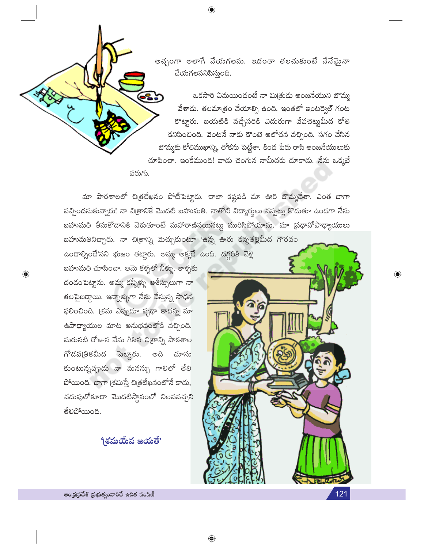అచ్చంగా అలాగే వేయగలను. ఇదంతా తలచుకుంటే నేనేఫైనా చేయగలననిపిస్తుంది.

ఒకసారి ఏమయిందంటే నా మిత్రుడు ఆంజనేయుని బొమ్మ వేశాడు. తలమాత్రం వేయాల్సి ఉంది. ఇంతలో ఇంటర్వెల్ గంట కొట్టారు. బయటికి వచ్చేసరికి ఎదురుగా వేపచెట్టుమీద కోతి కనిపించింది. వెంటనే నాకు కొంటె ఆలోచన వచ్చింది. సగం వేసిన బొమ్మకు కోతిముఖాన్ని, తోకను పెట్టేశా. కింద పేరు రాసి ఆంజనేయులుకు చూపించా. ఇంకేముంది! వాడు చెంగున నామీదకు దూకాడు. నేను ఒక్కటే

మా పాఠశాలలో చిత్రలేఖనం పోటీపెట్టారు. చాలా కష్టపడి మా ఊరి బొమ్మవేశా. ఎంత బాగా వచ్చిందనుకున్నారు! నా చిత్రానికే మొదటి బహుమతి. నాతోటి విద్యార్శలు చప్పట్లు కొడుతూ ఉండగా నేను బహుమతి తీసుకోదానికి వెళుతూంటే మహారాణినయినట్లు మురిసిపోయాను. మా (పధానోపాధ్యాయులు బహుమతినిచ్చారు. నా చిత్రాన్ని మెచ్చుకుంటూ 'ఉన్న ఊరు కన్నతల్లిమీద గౌరవం

 $\bigoplus$ 

ఉండాల్సిందే'నని భుజం తట్టారు. అమ్మ అక్కడే ఉంది. దగ్గరికి వెళ్లి బహుమతి చూపించా. ఆమె కళ్ళలో నీళ్ళు. కాళ్ళకు దండంపెట్టాను. అమ్మ కన్నీళ్ళు ఆశీస్సులుగా నా తలపైబడ్గాయి. ఇన్నాళ్ళుగా నేను చేస్తున్న సాధన ఫలించింది. (శమ ఎప్పుడూ వృథా కాదన్న మా ఉపాధ్యాయుల మాట అనుభవంలోకి వచ్చింది. మరుసటి రోజున నేను గీసిన చిత్రాన్ని పాఠశాల గోదపఱ్రికమీద పెట్టారు. මධ් చూసు కుంటున్నప్పుడు నా మనస్సు గాలిలో తేలి పోయింది. బాగా (శమిస్తే చిత్రలేఖనంలోనే కాదు, చదువులోకూడా మొదటిస్తానంలో నిలవవచ్చని తేలిపోయింది.

 $\bigoplus$ 

పరుగు.

'శమయేవ జయతే'



 $\overline{\mathbb{Q}}$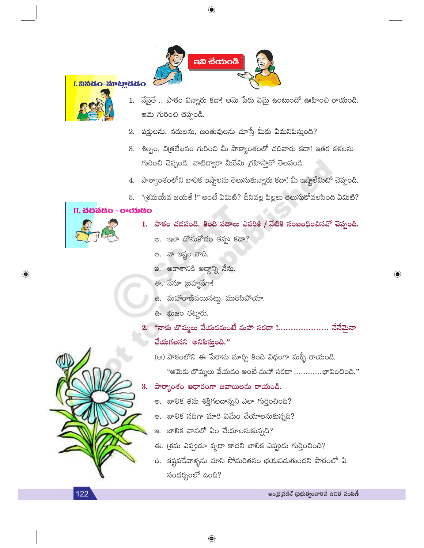



- 1. నేనైతే .. పాఠం విన్నారు కదా! ఆమె పేరు ఏమై ఉంటుందో ఊహించి రాయండి. ఆమె గురించి చెప్పండి.
- 2. పక్షులను, నదులను, జంతువులను చూస్తే మీకు ఏమనిపిస్తుంది?
- 3. శిల్పం, చిత్రలేఖనం గురించి మీ పాఠ్యాంశంలో చదివారు కదా! ఇతర కళలను గురించి చెప్పండి. వాటిద్వారా మీరేమి (గహిస్తారో తెలపండి.
- 4. పాఠ్యాంశంలోని బాలిక ఇష్టాలను తెలుసుకున్నారు కదా! మీ ఇష్టాలేమిటో చెప్పండి.
- 5. "(శమయేవ జయతే !" అంటే ఏమిటి? దీనివల్ల పిల్లలు తెలుసుకోవలసింది ఏమిటి?

#### II. చదవడం - రాయడం

 $\bigoplus$ 

- 1. పాఠం చదవండి. కింది పదాలు ఎవరికి / వేటికి సంబంధించినవో చెప్పండి.
	- అ. ఇలా దోచుకోదం తప్పు కదా?
	- ఆ. నా ఇష్టం నాది.
	- ఇ. ఆకాశానికి అద్దాన్ని నేను.
	- ఈ. నేనూ ట్రహ్మనేగా!
	- ఉ. మహారాణినయినట్టు మురిసిపోయా.
	- ఊ. భుజం తట్టారు.
- 2. "నాకు బొమ్మలు వేయడమంటే మహా సరదా !..................... నేనేమైనా  $\tilde{a}$ యగలనని అనిపిస్తుంది."
	- (అ) పాఠంలోని ఈ పేరాను మార్చి కింది విధంగా మళ్ళీ రాయండి.
		- "ఆమెకు బొమ్మలు వేయడం అంటే మహా సరదా ............భావించింది."
- 3. పాఠ్యాంశం ఆధారంగా జవాబులను రాయండి.
	- అ. బాలిక తను శక్తిగలదాన్నని ఎలా గుర్తించింది?
	- ఆ. బాలిక నదిగా మారి ఏమేం చేయాలనుకున్నది?
	- ఇ. బాలిక వానలో ఏం చేయాలనుకున్నది?
	- ఈ. (శమ ఎప్పుడూ వృథా కాదని బాలిక ఎప్పుడు గుర్తించింది?
	- ఉ. కష్టపడేవాళ్ళను చూసి సోమరితనం భయపడుతుందని పాఠంలో ఏ సందర్భంలో ఉంది?

#### 122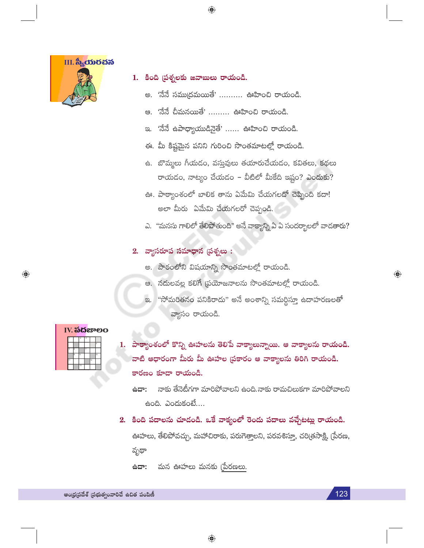

- 1. కింది ప్రశ్నలకు జవాబులు రాయండి.
	- అ. 'నేనే సముద్రమయితే' .......... ఊహించి రాయండి.
	- ఆ. 'నేనే చీమనయితే' ......... ఊహించి రాయండి.

- 'నేనే ఉపాధ్యాయుడినైతే' ...... ఊహించి రాయండి. ප.
- ఈ. మీ కిష్టమైన పనిని గురించి సొంతమాటల్లో రాయండి.
- ఉ. బొమ్మలు గీయడం, వస్తువులు తయారుచేయడం, కవితలు, కథలు  $\sigma$ యడం, నాట్యం చేయడం – వీటిలో మీకేది ఇష్టం? ఎందుకు?
- ఊ. పాఠ్యాంశంలో బాలిక తాను ఏమేమి చేయగలదో చెప్పింది కదా! అలా మీరు `ఏమేమి చేయగలరో చెప్పండి.
- ఎ. "మనసు గాలిలో తేలిపోతుంది" అనే వాక్యాన్ని ఏ ఏ సందర్భాలలో వాడతారు?
- 2. వ్యాసరూప సమాధాన (పశ్నలు :
	- అ. పాఠంలోని విషయాన్ని సొంతమాటల్లో రాయండి.
	- ఆ. నదులవల్ల కలిగే ప్రయోజనాలను సొంతమాటల్లో రాయండి.
	- "సోమరితనం పనికిరాదు" అనే అంశాన్ని సమర్థిస్తూ ఉదాహరణలతో  $\infty$ . వ్యాసం రాయండి.

|  |  |  | IV. <b>ಎದೆ</b> ಜಾಲಂ |
|--|--|--|---------------------|
|  |  |  |                     |
|  |  |  |                     |
|  |  |  |                     |
|  |  |  |                     |

 $\bigoplus$ 

1. పాఠ్యాంశంలో కొన్ని ఊహలను తెలిపే వాక్యాలున్నాయి. ఆ వాక్యాలను రాయండి. వాటి ఆధారంగా మీరు మీ ఊహల (పకారం ఆ వాక్యాలను తిరిగి రాయండి. కారణం కూడా రాయండి.

నాకు తేనెటీగగా మారిపోవాలని ఉంది.నాకు రామచిలుకగా మారిపోవాలని ಕಿದ್: ఉంది. ఎందుకంటే....

2. కింది పదాలను చూడండి. ఒకే వాక్యంలో రెండు పదాలు వచ్చేటట్లు రాయండి.

ఊహలు, తేలిపోవచ్చు, మహాచిరాకు, పరుగెత్తాలని, పరవశిస్త్రూ, చరి(తసాక్షి, (పేరణ, వృథా

.ಇದಿಕ మన ఊహలు మనకు (పేరణలు.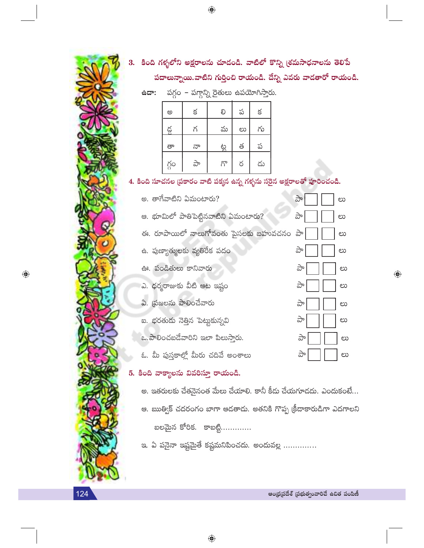

3. కింది గళ్ళలోని అక్షరాలను చూడండి. వాటిలో కొన్ని (శమసాధనాలను తెలిపే పదాలున్నాయి.వాటిని గుర్తించి రాయండి. దేన్ని ఎవరు వాడతారో రాయండి.

 $\frac{1}{2}$ ఉదా: పగ్గం – పగ్గాన్ని రైతులు ఉపయోగిస్తారు.

 $\bigoplus$ 

| ම    | క  | లి  | ప  | $\leq$ |
|------|----|-----|----|--------|
| డ్డ  | గ  | మ   | లు | గు     |
| తా   | నా | ಟ್ಟ | త  | ప      |
| గ్గం | ಎ್ | గొ  | ర  | డు     |

4. కింది సూచనల (పకారం వాటి పక్కన ఉన్న గళ్ళను సరైన అక్షరాలతో పూరించండి.

అ. తాగేవాటిని ఏమంటారు? పా లు ఆ. భూమిలో పాతిపెట్టినవాటిని ఏమంటారు? ಎ್ ಲು ఈ. రూపాయిలో నాలుగోవంతు పైసలకు బహువచనం పా లు ఉ. పుణ్యాత్ములకు వ్యతిరేక పదం ವಿ ಲು ఊ. పండితులు కానివారు ರ್ವ లు ఎ. ధర్మరాజుకు వీటి ఆట ఇష్టం ರ್ಪಿ ಲು ఏ. ప్రజలను పాలించేవారు ಪಿ ಲು ఐ. భరతుడు నెత్తిన పెట్టుకున్నవి పా ಲು ఒ. పాలించబడేవారిని ఇలా పిలుస్తారు. ਨੇ లు ఓ. మీ పుస్తకాల్లో మీరు చదివే అంశాలు ಎ್ ಲು

## 5. కింది వాక్యాలను వివరిస్తూ రాయండి.

అ. ఇతరులకు చేతనైనంత మేలు చేయాలి. కానీ కీడు చేయగూడదు. ఎందుకంటే... ఆ. ఋత్విక్ చదరంగం బాగా ఆడతాడు. అతనికి గొప్ప క్రీడాకారుడిగా ఎదగాలని బలమైన కోరిక. కాబట్టి.............

ఇ. ఏ పనైనా ఇష్టమైతే కష్టమనిపించదు. అందువల్ల ..............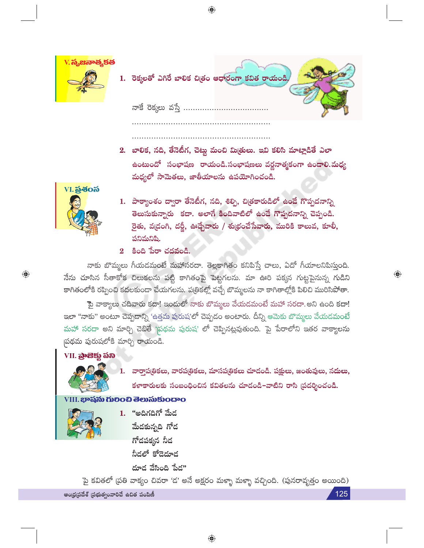

| .  రెక్కలతో ఎగిరే బాలిక చిత్రం ఆధారంగా కవిత రాయండి, |  |
|-----------------------------------------------------|--|
| నాకే రెక్కలు వస్తే                                  |  |

2. బాలిక, నది, తేనెటీగ, చెట్టు మంచి మిత్రులు. ఇవి కలిసి మాట్లాడితే ఎలా ఉంటుందో సంభాషణ రాయండి.సంభాషణలు వర్ణనాత్మకంగా ఉండాలి.మధ్య మధ్యలో సామెతలు, జాతీయాలను ఉపయోగించండి.



 $\bigoplus$ 

- 1. పాఠ్యాంశం ద్వారా తేనెటీగ, నది, శిల్పి, చిత్రకారుడిలో ఉండే గొప్పదనాన్ని తెలుసుకున్నారు కదా. అలాగే కిందివాటిలో ఉండే గొప్పదనాన్ని చెప్పండి. రైతు, వ(దంగి, దర్జీ, ఊడ్చేవారు / శు(భంచేసేవారు, మురికి కాలువ, కూలీ, పనిమనిషి.
- $2$  కింది పేరా చదవండి.

నాకు బొమ్మలు గీయడమంటే మహాసరదా. తెల్లకాగితం కనిపిస్తే చాలు, ఏదో గీయాలనిపిస్తుంది. నేను చూసిన సీతాకోక చిలుకలను పట్టి కాగితంపై పెట్టగలను. మా ఊరి పక్కన గుట్టపైనున్న గుడిని కాగితంలోకి రప్పించి కదలకుండా చేయగలను. ప(తికల్లో వచ్చే బొమ్మలను నా కాగితాల్లోకి పిలిచి మురిసిపోతా.

పై వాక్యాలు చదివారు కదా! ఇందులో నాకు బొమ్మలు వేయదమంటే మహా సరదా.అని ఉంది కదా! ఇలా "నాకు" అంటూ చెప్పడాన్ని 'ఉత్తమ పురుష'లో చెప్పదం అంటారు. దీన్ని ఆమెకు బొమ్మలు వేయడమంటే మహా సరదా అని మార్చి చెబితే 'నుథమ పురుష' లో చెప్పినట్లవుతుంది. పై పేరాలోని ఇతర వాక్యాలను పథమ పురుషలోకి మార్చి రాయండి.

## VII. බුංසිඡා හිබ



1. వార్తాప(తికలు, వారప(తికలు, మాసప(తికలు చూదండి. పక్షులు, జంతువులు, నదులు, కళాకారులకు సంబంధించిన కవితలను చూడండి-వాటిని రాసి (పదర్శించండి.

### VIII. భాషను గులించి తెలుసుకుందాం

- 
- 1. "అదిగదిగో మేద మేదకున్నది గోద గోదపక్కన నీద నీడలో కోడెదూడ దూడ వేసింది పేడ"

పై కవితలో (పతి వాక్యం చివరా 'డ' అనే అక్షరం మళ్ళా మళ్ళా వచ్చింది. (పునరావృత్తం అయింది)

 $\bigoplus$ 

ఆంధ్రప్రదేశ్ (పభుత్వంవారిచే ఉచిత పంపిణీ